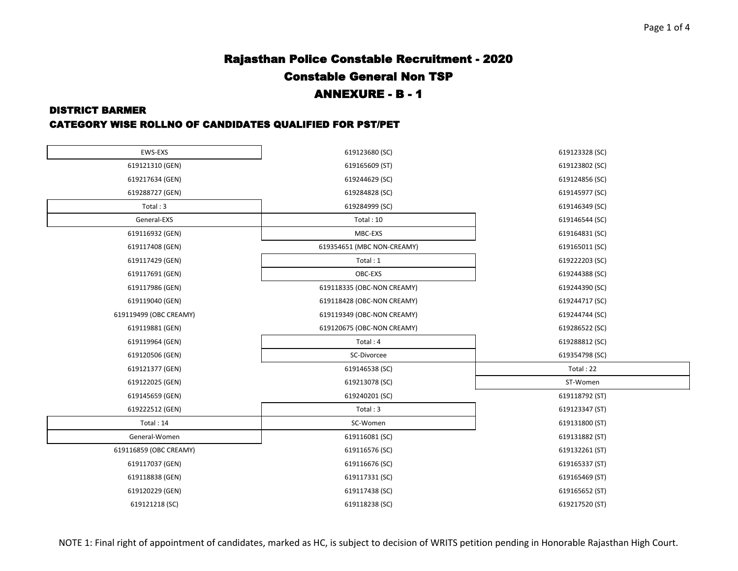# Rajasthan Police Constable Recruitment - 2020 Constable General Non TSP ANNEXURE - B - 1

### DISTRICT BARMER

### CATEGORY WISE ROLLNO OF CANDIDATES QUALIFIED FOR PST/PET

| EWS-EXS                | 619123680 (SC)             | 619123328 (SC) |
|------------------------|----------------------------|----------------|
| 619121310 (GEN)        | 619165609 (ST)             | 619123802 (SC) |
| 619217634 (GEN)        | 619244629 (SC)             | 619124856 (SC) |
| 619288727 (GEN)        | 619284828 (SC)             | 619145977 (SC) |
| Total: 3               | 619284999 (SC)             | 619146349 (SC) |
| General-EXS            | Total: 10                  | 619146544 (SC) |
| 619116932 (GEN)        | MBC-EXS                    | 619164831 (SC) |
| 619117408 (GEN)        | 619354651 (MBC NON-CREAMY) | 619165011 (SC) |
| 619117429 (GEN)        | Total: 1                   | 619222203 (SC) |
| 619117691 (GEN)        | OBC-EXS                    | 619244388 (SC) |
| 619117986 (GEN)        | 619118335 (OBC-NON CREAMY) | 619244390 (SC) |
| 619119040 (GEN)        | 619118428 (OBC-NON CREAMY) | 619244717 (SC) |
| 619119499 (OBC CREAMY) | 619119349 (OBC-NON CREAMY) | 619244744 (SC) |
| 619119881 (GEN)        | 619120675 (OBC-NON CREAMY) | 619286522 (SC) |
| 619119964 (GEN)        | Total: 4                   | 619288812 (SC) |
| 619120506 (GEN)        | SC-Divorcee                | 619354798 (SC) |
| 619121377 (GEN)        | 619146538 (SC)             | Total: 22      |
| 619122025 (GEN)        | 619213078 (SC)             | ST-Women       |
| 619145659 (GEN)        | 619240201 (SC)             | 619118792 (ST) |
| 619222512 (GEN)        | Total: 3                   | 619123347 (ST) |
| Total: 14              | SC-Women                   | 619131800 (ST) |
| General-Women          | 619116081 (SC)             | 619131882 (ST) |
| 619116859 (OBC CREAMY) | 619116576 (SC)             | 619132261 (ST) |
| 619117037 (GEN)        | 619116676 (SC)             | 619165337 (ST) |
| 619118838 (GEN)        | 619117331 (SC)             | 619165469 (ST) |
| 619120229 (GEN)        | 619117438 (SC)             | 619165652 (ST) |
| 619121218 (SC)         | 619118238 (SC)             | 619217520 (ST) |

NOTE 1: Final right of appointment of candidates, marked as HC, is subject to decision of WRITS petition pending in Honorable Rajasthan High Court.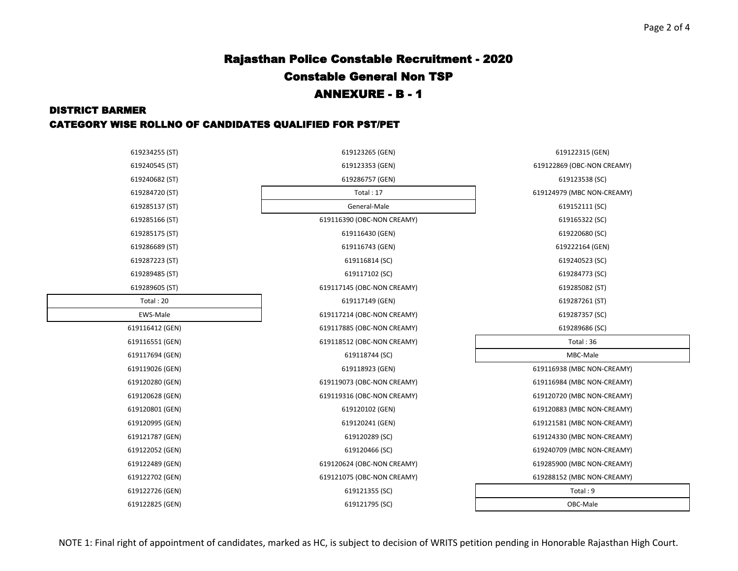## Page 2 of 4

# Rajasthan Police Constable Recruitment - 2020 Constable General Non TSP ANNEXURE - B - 1

#### DISTRICT BARMER

### CATEGORY WISE ROLLNO OF CANDIDATES QUALIFIED FOR PST/PET

| 619234255 (ST)  | 619123265 (GEN)            | 619122315 (GEN)            |
|-----------------|----------------------------|----------------------------|
| 619240545 (ST)  | 619123353 (GEN)            | 619122869 (OBC-NON CREAMY) |
| 619240682 (ST)  | 619286757 (GEN)            | 619123538 (SC)             |
| 619284720 (ST)  | Total: 17                  | 619124979 (MBC NON-CREAMY) |
| 619285137 (ST)  | General-Male               | 619152111 (SC)             |
| 619285166 (ST)  | 619116390 (OBC-NON CREAMY) | 619165322 (SC)             |
| 619285175 (ST)  | 619116430 (GEN)            | 619220680 (SC)             |
| 619286689 (ST)  | 619116743 (GEN)            | 619222164 (GEN)            |
| 619287223 (ST)  | 619116814 (SC)             | 619240523 (SC)             |
| 619289485 (ST)  | 619117102 (SC)             | 619284773 (SC)             |
| 619289605 (ST)  | 619117145 (OBC-NON CREAMY) | 619285082 (ST)             |
| Total: 20       | 619117149 (GEN)            | 619287261 (ST)             |
| EWS-Male        | 619117214 (OBC-NON CREAMY) | 619287357 (SC)             |
| 619116412 (GEN) | 619117885 (OBC-NON CREAMY) | 619289686 (SC)             |
| 619116551 (GEN) | 619118512 (OBC-NON CREAMY) | Total: 36                  |
| 619117694 (GEN) | 619118744 (SC)             | MBC-Male                   |
| 619119026 (GEN) | 619118923 (GEN)            | 619116938 (MBC NON-CREAMY) |
| 619120280 (GEN) | 619119073 (OBC-NON CREAMY) | 619116984 (MBC NON-CREAMY) |
| 619120628 (GEN) | 619119316 (OBC-NON CREAMY) | 619120720 (MBC NON-CREAMY) |
| 619120801 (GEN) | 619120102 (GEN)            | 619120883 (MBC NON-CREAMY) |
| 619120995 (GEN) | 619120241 (GEN)            | 619121581 (MBC NON-CREAMY) |
| 619121787 (GEN) | 619120289 (SC)             | 619124330 (MBC NON-CREAMY) |
| 619122052 (GEN) | 619120466 (SC)             | 619240709 (MBC NON-CREAMY) |
| 619122489 (GEN) | 619120624 (OBC-NON CREAMY) | 619285900 (MBC NON-CREAMY) |
| 619122702 (GEN) | 619121075 (OBC-NON CREAMY) | 619288152 (MBC NON-CREAMY) |
| 619122726 (GEN) | 619121355 (SC)             | Total: 9                   |
| 619122825 (GEN) | 619121795 (SC)             | OBC-Male                   |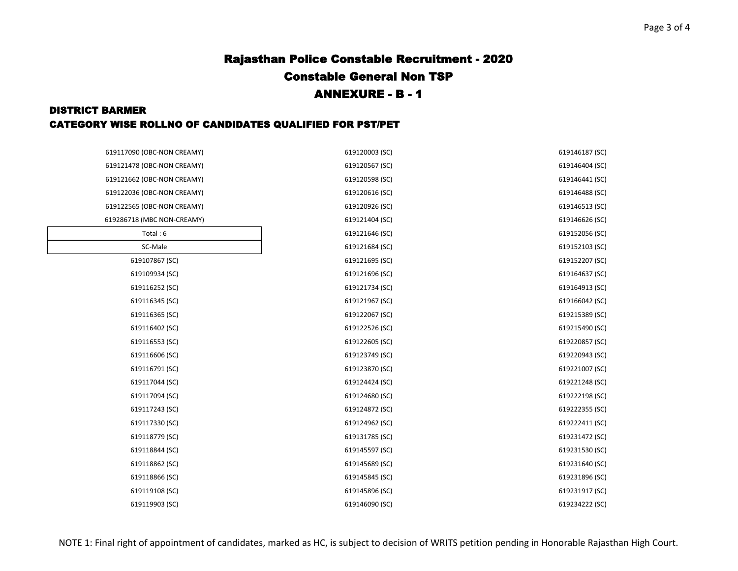## Page 3 of 4

# Rajasthan Police Constable Recruitment - 2020 Constable General Non TSP ANNEXURE - B - 1

#### DISTRICT BARMER

### CATEGORY WISE ROLLNO OF CANDIDATES QUALIFIED FOR PST/PET

| 619117090 (OBC-NON CREAMY) | 619120003 (SC) | 619146187 (SC) |
|----------------------------|----------------|----------------|
| 619121478 (OBC-NON CREAMY) | 619120567 (SC) | 619146404 (SC) |
| 619121662 (OBC-NON CREAMY) | 619120598 (SC) | 619146441 (SC) |
| 619122036 (OBC-NON CREAMY) | 619120616 (SC) | 619146488 (SC) |
| 619122565 (OBC-NON CREAMY) | 619120926 (SC) | 619146513 (SC) |
| 619286718 (MBC NON-CREAMY) | 619121404 (SC) | 619146626 (SC) |
| Total: 6                   | 619121646 (SC) | 619152056 (SC) |
| SC-Male                    | 619121684 (SC) | 619152103 (SC) |
| 619107867 (SC)             | 619121695 (SC) | 619152207 (SC) |
| 619109934 (SC)             | 619121696 (SC) | 619164637 (SC) |
| 619116252 (SC)             | 619121734 (SC) | 619164913 (SC) |
| 619116345 (SC)             | 619121967 (SC) | 619166042 (SC) |
| 619116365 (SC)             | 619122067 (SC) | 619215389 (SC) |
| 619116402 (SC)             | 619122526 (SC) | 619215490 (SC) |
| 619116553 (SC)             | 619122605 (SC) | 619220857 (SC) |
| 619116606 (SC)             | 619123749 (SC) | 619220943 (SC) |
| 619116791 (SC)             | 619123870 (SC) | 619221007 (SC) |
| 619117044 (SC)             | 619124424 (SC) | 619221248 (SC) |
| 619117094 (SC)             | 619124680 (SC) | 619222198 (SC) |
| 619117243 (SC)             | 619124872 (SC) | 619222355 (SC) |
| 619117330 (SC)             | 619124962 (SC) | 619222411 (SC) |
| 619118779 (SC)             | 619131785 (SC) | 619231472 (SC) |
| 619118844 (SC)             | 619145597 (SC) | 619231530 (SC) |
| 619118862 (SC)             | 619145689 (SC) | 619231640 (SC) |
| 619118866 (SC)             | 619145845 (SC) | 619231896 (SC) |
| 619119108 (SC)             | 619145896 (SC) | 619231917 (SC) |
| 619119903 (SC)             | 619146090 (SC) | 619234222 (SC) |